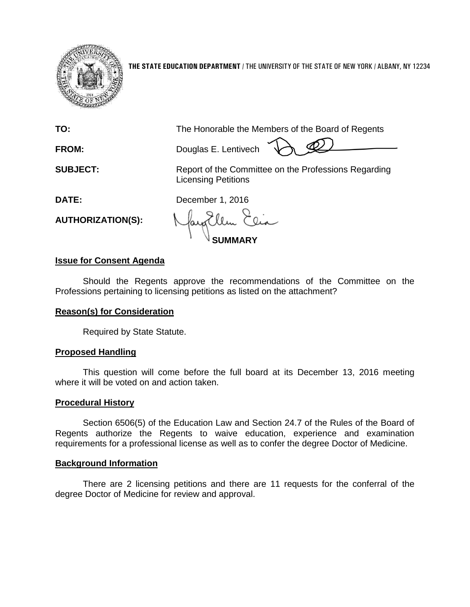

**THE STATE EDUCATION DEPARTMENT** / THE UNIVERSITY OF THE STATE OF NEW YORK / ALBANY, NY 12234

**TO:** The Honorable the Members of the Board of Regents

**FROM:** Douglas E. Lentivech

**SUBJECT:** Report of the Committee on the Professions Regarding Licensing Petitions

**DATE:** December 1, 2016

**AUTHORIZATION(S):**

**SUMMARY**

# **Issue for Consent Agenda**

Should the Regents approve the recommendations of the Committee on the Professions pertaining to licensing petitions as listed on the attachment?

# **Reason(s) for Consideration**

Required by State Statute.

## **Proposed Handling**

This question will come before the full board at its December 13, 2016 meeting where it will be voted on and action taken.

## **Procedural History**

Section 6506(5) of the Education Law and Section 24.7 of the Rules of the Board of Regents authorize the Regents to waive education, experience and examination requirements for a professional license as well as to confer the degree Doctor of Medicine.

## **Background Information**

There are 2 licensing petitions and there are 11 requests for the conferral of the degree Doctor of Medicine for review and approval.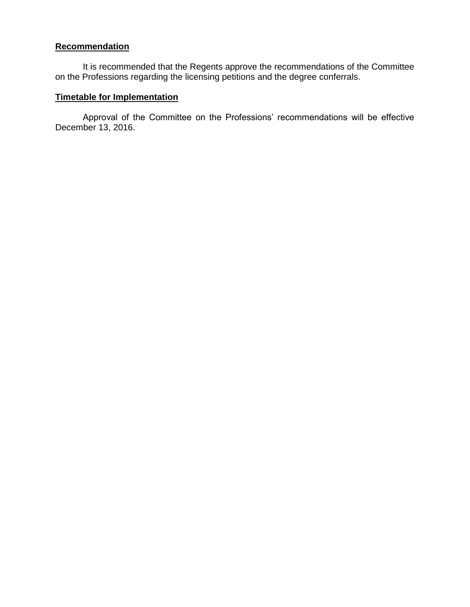### **Recommendation**

It is recommended that the Regents approve the recommendations of the Committee on the Professions regarding the licensing petitions and the degree conferrals.

#### **Timetable for Implementation**

Approval of the Committee on the Professions' recommendations will be effective December 13, 2016.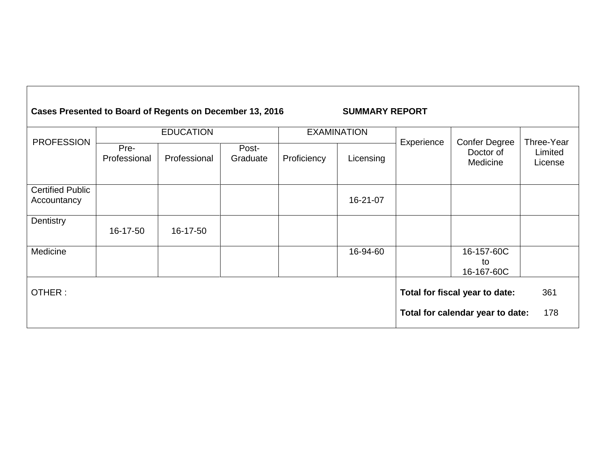| Cases Presented to Board of Regents on December 13, 2016 |                      |              |                   |                    | <b>SUMMARY REPORT</b> |            |                                               |                                  |
|----------------------------------------------------------|----------------------|--------------|-------------------|--------------------|-----------------------|------------|-----------------------------------------------|----------------------------------|
| <b>PROFESSION</b>                                        | <b>EDUCATION</b>     |              |                   | <b>EXAMINATION</b> |                       |            |                                               |                                  |
|                                                          | Pre-<br>Professional | Professional | Post-<br>Graduate | Proficiency        | Licensing             | Experience | <b>Confer Degree</b><br>Doctor of<br>Medicine | Three-Year<br>Limited<br>License |
| <b>Certified Public</b><br>Accountancy                   |                      |              |                   |                    | 16-21-07              |            |                                               |                                  |
| Dentistry                                                | 16-17-50             | 16-17-50     |                   |                    |                       |            |                                               |                                  |
| Medicine                                                 |                      |              |                   |                    | 16-94-60              |            | 16-157-60C<br>to<br>16-167-60C                |                                  |
| OTHER:                                                   |                      |              |                   |                    |                       |            | Total for fiscal year to date:                | 361                              |
|                                                          |                      |              |                   |                    |                       |            | Total for calendar year to date:              | 178                              |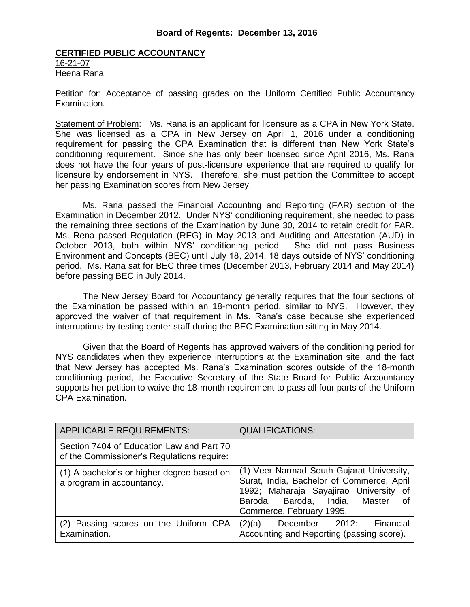#### **CERTIFIED PUBLIC ACCOUNTANCY**

16-21-07 Heena Rana

Petition for: Acceptance of passing grades on the Uniform Certified Public Accountancy Examination.

Statement of Problem: Ms. Rana is an applicant for licensure as a CPA in New York State. She was licensed as a CPA in New Jersey on April 1, 2016 under a conditioning requirement for passing the CPA Examination that is different than New York State's conditioning requirement. Since she has only been licensed since April 2016, Ms. Rana does not have the four years of post-licensure experience that are required to qualify for licensure by endorsement in NYS. Therefore, she must petition the Committee to accept her passing Examination scores from New Jersey.

Ms. Rana passed the Financial Accounting and Reporting (FAR) section of the Examination in December 2012. Under NYS' conditioning requirement, she needed to pass the remaining three sections of the Examination by June 30, 2014 to retain credit for FAR. Ms. Rena passed Regulation (REG) in May 2013 and Auditing and Attestation (AUD) in October 2013, both within NYS' conditioning period. She did not pass Business Environment and Concepts (BEC) until July 18, 2014, 18 days outside of NYS' conditioning period. Ms. Rana sat for BEC three times (December 2013, February 2014 and May 2014) before passing BEC in July 2014.

The New Jersey Board for Accountancy generally requires that the four sections of the Examination be passed within an 18-month period, similar to NYS. However, they approved the waiver of that requirement in Ms. Rana's case because she experienced interruptions by testing center staff during the BEC Examination sitting in May 2014.

Given that the Board of Regents has approved waivers of the conditioning period for NYS candidates when they experience interruptions at the Examination site, and the fact that New Jersey has accepted Ms. Rana's Examination scores outside of the 18-month conditioning period, the Executive Secretary of the State Board for Public Accountancy supports her petition to waive the 18-month requirement to pass all four parts of the Uniform CPA Examination.

| <b>APPLICABLE REQUIREMENTS:</b>                                                         | <b>QUALIFICATIONS:</b>                                                                                                                                                                               |
|-----------------------------------------------------------------------------------------|------------------------------------------------------------------------------------------------------------------------------------------------------------------------------------------------------|
| Section 7404 of Education Law and Part 70<br>of the Commissioner's Regulations require: |                                                                                                                                                                                                      |
| (1) A bachelor's or higher degree based on<br>a program in accountancy.                 | (1) Veer Narmad South Gujarat University,<br>Surat, India, Bachelor of Commerce, April<br>1992; Maharaja Sayajirao University of<br>Baroda, Baroda, India, Master<br>_of<br>Commerce, February 1995. |
| (2) Passing scores on the Uniform CPA<br>Examination.                                   | Financial<br>(2)(a)<br>December 2012:<br>Accounting and Reporting (passing score).                                                                                                                   |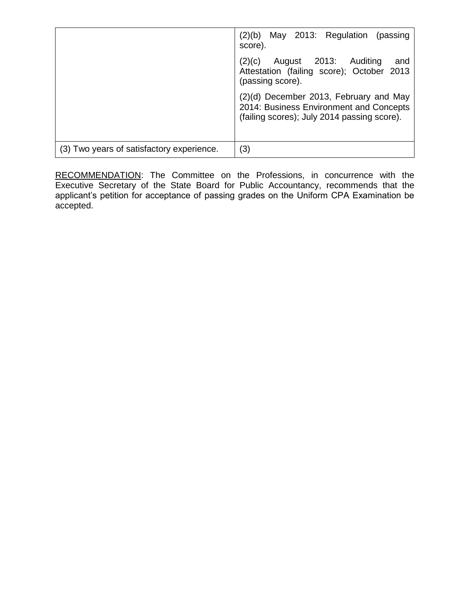|                                           | May 2013: Regulation (passing<br>(2)(b)<br>score).                                                                               |
|-------------------------------------------|----------------------------------------------------------------------------------------------------------------------------------|
|                                           | August 2013: Auditing<br>(2)(c)<br>and<br>Attestation (failing score); October 2013<br>(passing score).                          |
|                                           | (2)(d) December 2013, February and May<br>2014: Business Environment and Concepts<br>(failing scores); July 2014 passing score). |
| (3) Two years of satisfactory experience. | $\left( 3\right)$                                                                                                                |

RECOMMENDATION: The Committee on the Professions, in concurrence with the Executive Secretary of the State Board for Public Accountancy, recommends that the applicant's petition for acceptance of passing grades on the Uniform CPA Examination be accepted.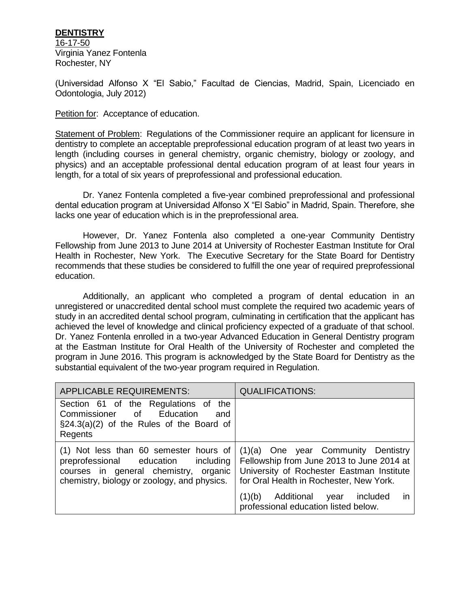### **DENTISTRY**

16-17-50 Virginia Yanez Fontenla Rochester, NY

(Universidad Alfonso X "El Sabio," Facultad de Ciencias, Madrid, Spain, Licenciado en Odontologia, July 2012)

Petition for: Acceptance of education.

Statement of Problem: Regulations of the Commissioner require an applicant for licensure in dentistry to complete an acceptable preprofessional education program of at least two years in length (including courses in general chemistry, organic chemistry, biology or zoology, and physics) and an acceptable professional dental education program of at least four years in length, for a total of six years of preprofessional and professional education.

Dr. Yanez Fontenla completed a five-year combined preprofessional and professional dental education program at Universidad Alfonso X "El Sabio" in Madrid, Spain. Therefore, she lacks one year of education which is in the preprofessional area.

However, Dr. Yanez Fontenla also completed a one-year Community Dentistry Fellowship from June 2013 to June 2014 at University of Rochester Eastman Institute for Oral Health in Rochester, New York. The Executive Secretary for the State Board for Dentistry recommends that these studies be considered to fulfill the one year of required preprofessional education.

Additionally, an applicant who completed a program of dental education in an unregistered or unaccredited dental school must complete the required two academic years of study in an accredited dental school program, culminating in certification that the applicant has achieved the level of knowledge and clinical proficiency expected of a graduate of that school. Dr. Yanez Fontenla enrolled in a two-year Advanced Education in General Dentistry program at the Eastman Institute for Oral Health of the University of Rochester and completed the program in June 2016. This program is acknowledged by the State Board for Dentistry as the substantial equivalent of the two-year program required in Regulation.

| <b>APPLICABLE REQUIREMENTS:</b>                                                                                                                                         | <b>QUALIFICATIONS:</b>                                                                                                                                                   |
|-------------------------------------------------------------------------------------------------------------------------------------------------------------------------|--------------------------------------------------------------------------------------------------------------------------------------------------------------------------|
| Section 61 of the Regulations of the<br>Commissioner of Education<br>and<br>$\S24.3(a)(2)$ of the Rules of the Board of<br>Regents                                      |                                                                                                                                                                          |
| $(1)$ Not less than 60 semester hours of<br>preprofessional education including<br>courses in general chemistry, organic<br>chemistry, biology or zoology, and physics. | (1)(a) One year Community Dentistry<br>Fellowship from June 2013 to June 2014 at<br>University of Rochester Eastman Institute<br>for Oral Health in Rochester, New York. |
|                                                                                                                                                                         | Additional<br>(1)(b)<br>included<br>year<br>$\mathsf{I}$<br>professional education listed below.                                                                         |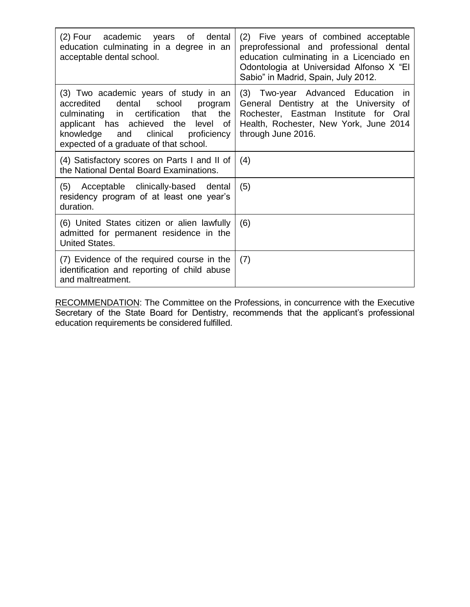| (2) Four academic<br>years of dental<br>education culminating in a degree in an<br>acceptable dental school.                                                                                                                                             | (2) Five years of combined acceptable<br>preprofessional and professional dental<br>education culminating in a Licenciado en<br>Odontologia at Universidad Alfonso X "El<br>Sabio" in Madrid, Spain, July 2012. |
|----------------------------------------------------------------------------------------------------------------------------------------------------------------------------------------------------------------------------------------------------------|-----------------------------------------------------------------------------------------------------------------------------------------------------------------------------------------------------------------|
| (3) Two academic years of study in an<br>accredited dental school program<br>culminating in certification that<br>the<br>applicant has achieved the level<br>of<br>knowledge<br>clinical<br>proficiency<br>and<br>expected of a graduate of that school. | (3) Two-year Advanced Education in<br>General Dentistry at the University of<br>Rochester, Eastman Institute for Oral<br>Health, Rochester, New York, June 2014<br>through June 2016.                           |
| (4) Satisfactory scores on Parts I and II of<br>the National Dental Board Examinations.                                                                                                                                                                  | (4)                                                                                                                                                                                                             |
| (5) Acceptable clinically-based dental<br>residency program of at least one year's<br>duration.                                                                                                                                                          | (5)                                                                                                                                                                                                             |
| (6) United States citizen or alien lawfully<br>admitted for permanent residence in the<br><b>United States.</b>                                                                                                                                          | (6)                                                                                                                                                                                                             |
| (7) Evidence of the required course in the<br>identification and reporting of child abuse<br>and maltreatment.                                                                                                                                           | (7)                                                                                                                                                                                                             |

RECOMMENDATION: The Committee on the Professions, in concurrence with the Executive Secretary of the State Board for Dentistry, recommends that the applicant's professional education requirements be considered fulfilled.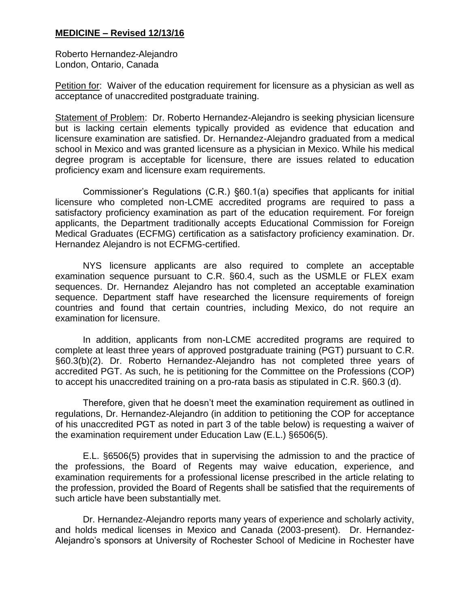## **MEDICINE – Revised 12/13/16**

Roberto Hernandez-Alejandro London, Ontario, Canada

Petition for: Waiver of the education requirement for licensure as a physician as well as acceptance of unaccredited postgraduate training.

Statement of Problem: Dr. Roberto Hernandez-Alejandro is seeking physician licensure but is lacking certain elements typically provided as evidence that education and licensure examination are satisfied. Dr. Hernandez-Alejandro graduated from a medical school in Mexico and was granted licensure as a physician in Mexico. While his medical degree program is acceptable for licensure, there are issues related to education proficiency exam and licensure exam requirements.

Commissioner's Regulations (C.R.) §60.1(a) specifies that applicants for initial licensure who completed non-LCME accredited programs are required to pass a satisfactory proficiency examination as part of the education requirement. For foreign applicants, the Department traditionally accepts Educational Commission for Foreign Medical Graduates (ECFMG) certification as a satisfactory proficiency examination. Dr. Hernandez Alejandro is not ECFMG-certified.

NYS licensure applicants are also required to complete an acceptable examination sequence pursuant to C.R. §60.4, such as the USMLE or FLEX exam sequences. Dr. Hernandez Alejandro has not completed an acceptable examination sequence. Department staff have researched the licensure requirements of foreign countries and found that certain countries, including Mexico, do not require an examination for licensure.

In addition, applicants from non-LCME accredited programs are required to complete at least three years of approved postgraduate training (PGT) pursuant to C.R. §60.3(b)(2). Dr. Roberto Hernandez-Alejandro has not completed three years of accredited PGT. As such, he is petitioning for the Committee on the Professions (COP) to accept his unaccredited training on a pro-rata basis as stipulated in C.R. §60.3 (d).

Therefore, given that he doesn't meet the examination requirement as outlined in regulations, Dr. Hernandez-Alejandro (in addition to petitioning the COP for acceptance of his unaccredited PGT as noted in part 3 of the table below) is requesting a waiver of the examination requirement under Education Law (E.L.) §6506(5).

E.L. §6506(5) provides that in supervising the admission to and the practice of the professions, the Board of Regents may waive education, experience, and examination requirements for a professional license prescribed in the article relating to the profession, provided the Board of Regents shall be satisfied that the requirements of such article have been substantially met.

Dr. Hernandez-Alejandro reports many years of experience and scholarly activity, and holds medical licenses in Mexico and Canada (2003-present). Dr. Hernandez-Alejandro's sponsors at University of Rochester School of Medicine in Rochester have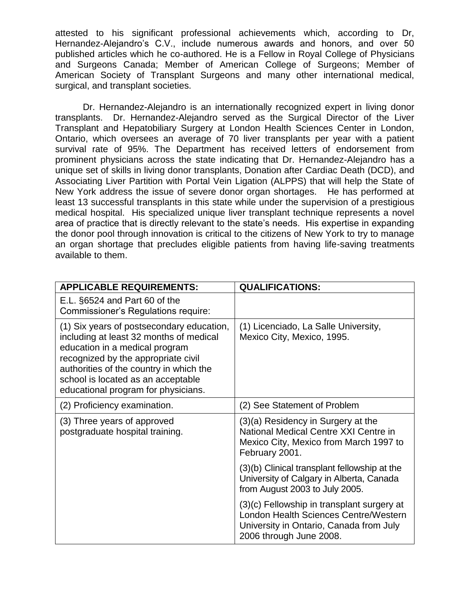attested to his significant professional achievements which, according to Dr, Hernandez-Alejandro's C.V., include numerous awards and honors, and over 50 published articles which he co-authored. He is a Fellow in Royal College of Physicians and Surgeons Canada; Member of American College of Surgeons; Member of American Society of Transplant Surgeons and many other international medical, surgical, and transplant societies.

Dr. Hernandez-Alejandro is an internationally recognized expert in living donor transplants. Dr. Hernandez-Alejandro served as the Surgical Director of the Liver Transplant and Hepatobiliary Surgery at London Health Sciences Center in London, Ontario, which oversees an average of 70 liver transplants per year with a patient survival rate of 95%. The Department has received letters of endorsement from prominent physicians across the state indicating that Dr. Hernandez-Alejandro has a unique set of skills in living donor transplants, Donation after Cardiac Death (DCD), and Associating Liver Partition with Portal Vein Ligation (ALPPS) that will help the State of New York address the issue of severe donor organ shortages. He has performed at least 13 successful transplants in this state while under the supervision of a prestigious medical hospital. His specialized unique liver transplant technique represents a novel area of practice that is directly relevant to the state's needs. His expertise in expanding the donor pool through innovation is critical to the citizens of New York to try to manage an organ shortage that precludes eligible patients from having life-saving treatments available to them.

| <b>APPLICABLE REQUIREMENTS:</b>                                                                                                                                                                                                                                                       | <b>QUALIFICATIONS:</b>                                                                                                                                    |
|---------------------------------------------------------------------------------------------------------------------------------------------------------------------------------------------------------------------------------------------------------------------------------------|-----------------------------------------------------------------------------------------------------------------------------------------------------------|
| E.L. §6524 and Part 60 of the<br>Commissioner's Regulations require:                                                                                                                                                                                                                  |                                                                                                                                                           |
| (1) Six years of postsecondary education,<br>including at least 32 months of medical<br>education in a medical program<br>recognized by the appropriate civil<br>authorities of the country in which the<br>school is located as an acceptable<br>educational program for physicians. | (1) Licenciado, La Salle University,<br>Mexico City, Mexico, 1995.                                                                                        |
| (2) Proficiency examination.                                                                                                                                                                                                                                                          | (2) See Statement of Problem                                                                                                                              |
| (3) Three years of approved<br>postgraduate hospital training.                                                                                                                                                                                                                        | (3)(a) Residency in Surgery at the<br>National Medical Centre XXI Centre in<br>Mexico City, Mexico from March 1997 to<br>February 2001.                   |
|                                                                                                                                                                                                                                                                                       | (3)(b) Clinical transplant fellowship at the<br>University of Calgary in Alberta, Canada<br>from August 2003 to July 2005.                                |
|                                                                                                                                                                                                                                                                                       | (3)(c) Fellowship in transplant surgery at<br>London Health Sciences Centre/Western<br>University in Ontario, Canada from July<br>2006 through June 2008. |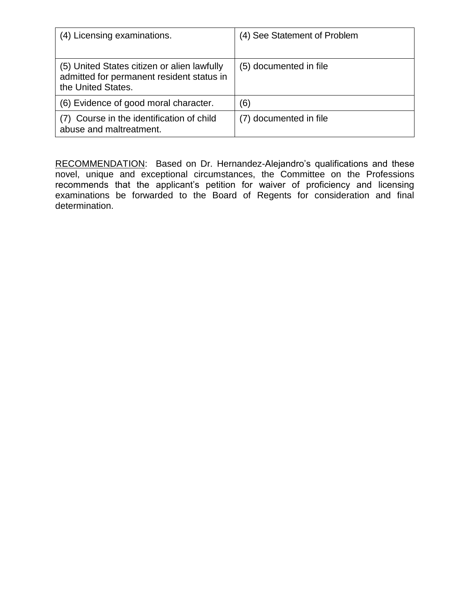| (4) Licensing examinations.                                                                                    | (4) See Statement of Problem |
|----------------------------------------------------------------------------------------------------------------|------------------------------|
| (5) United States citizen or alien lawfully<br>admitted for permanent resident status in<br>the United States. | (5) documented in file       |
| (6) Evidence of good moral character.                                                                          | (6)                          |
| (7) Course in the identification of child<br>abuse and maltreatment.                                           | (7) documented in file       |

RECOMMENDATION: Based on Dr. Hernandez-Alejandro's qualifications and these novel, unique and exceptional circumstances, the Committee on the Professions recommends that the applicant's petition for waiver of proficiency and licensing examinations be forwarded to the Board of Regents for consideration and final determination.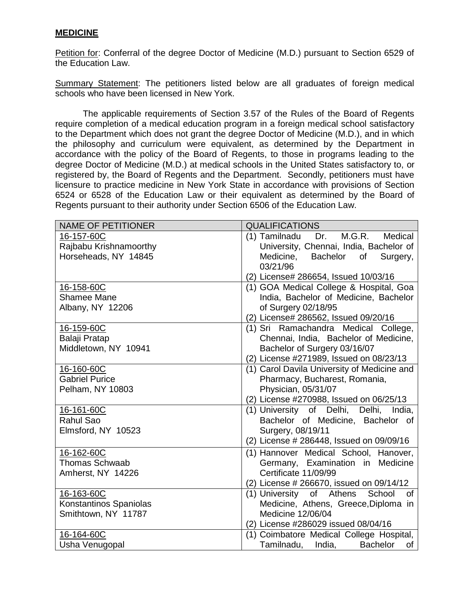#### **MEDICINE**

Petition for: Conferral of the degree Doctor of Medicine (M.D.) pursuant to Section 6529 of the Education Law.

Summary Statement: The petitioners listed below are all graduates of foreign medical schools who have been licensed in New York.

The applicable requirements of Section 3.57 of the Rules of the Board of Regents require completion of a medical education program in a foreign medical school satisfactory to the Department which does not grant the degree Doctor of Medicine (M.D.), and in which the philosophy and curriculum were equivalent, as determined by the Department in accordance with the policy of the Board of Regents, to those in programs leading to the degree Doctor of Medicine (M.D.) at medical schools in the United States satisfactory to, or registered by, the Board of Regents and the Department. Secondly, petitioners must have licensure to practice medicine in New York State in accordance with provisions of Section 6524 or 6528 of the Education Law or their equivalent as determined by the Board of Regents pursuant to their authority under Section 6506 of the Education Law.

| <b>NAME OF PETITIONER</b> | <b>QUALIFICATIONS</b>                              |
|---------------------------|----------------------------------------------------|
| 16-157-60C                | M.G.R.<br>(1) Tamilnadu Dr.<br>Medical             |
| Rajbabu Krishnamoorthy    | University, Chennai, India, Bachelor of            |
| Horseheads, NY 14845      | Medicine,<br><b>Bachelor</b><br>of<br>Surgery,     |
|                           | 03/21/96                                           |
|                           | (2) License# 286654, Issued 10/03/16               |
| 16-158-60C                | (1) GOA Medical College & Hospital, Goa            |
| <b>Shamee Mane</b>        | India, Bachelor of Medicine, Bachelor              |
| Albany, NY 12206          | of Surgery 02/18/95                                |
|                           | (2) License# 286562, Issued 09/20/16               |
| 16-159-60C                | (1) Sri Ramachandra Medical College,               |
| Balaji Pratap             | Chennai, India, Bachelor of Medicine,              |
| Middletown, NY 10941      | Bachelor of Surgery 03/16/07                       |
|                           | (2) License #271989, Issued on 08/23/13            |
| 16-160-60C                | (1) Carol Davila University of Medicine and        |
| <b>Gabriel Purice</b>     | Pharmacy, Bucharest, Romania,                      |
| Pelham, NY 10803          | Physician, 05/31/07                                |
|                           | (2) License #270988, Issued on 06/25/13            |
| 16-161-60C                | (1) University of Delhi, Delhi, India,             |
| Rahul Sao                 | Bachelor of Medicine, Bachelor of                  |
| Elmsford, NY 10523        | Surgery, 08/19/11                                  |
|                           | (2) License # 286448, Issued on 09/09/16           |
| 16-162-60C                | (1) Hannover Medical School, Hanover,              |
| <b>Thomas Schwaab</b>     | Germany, Examination in Medicine                   |
| Amherst, NY 14226         | Certificate 11/09/99                               |
|                           | (2) License # 266670, issued on 09/14/12           |
| 16-163-60C                | of Athens<br>(1) University<br>School<br><b>of</b> |
| Konstantinos Spaniolas    | Medicine, Athens, Greece, Diploma in               |
| Smithtown, NY 11787       | Medicine 12/06/04                                  |
|                           | (2) License #286029 issued 08/04/16                |
| 16-164-60C                | (1) Coimbatore Medical College Hospital,           |
| Usha Venugopal            | Tamilnadu, India,<br><b>Bachelor</b><br>of         |